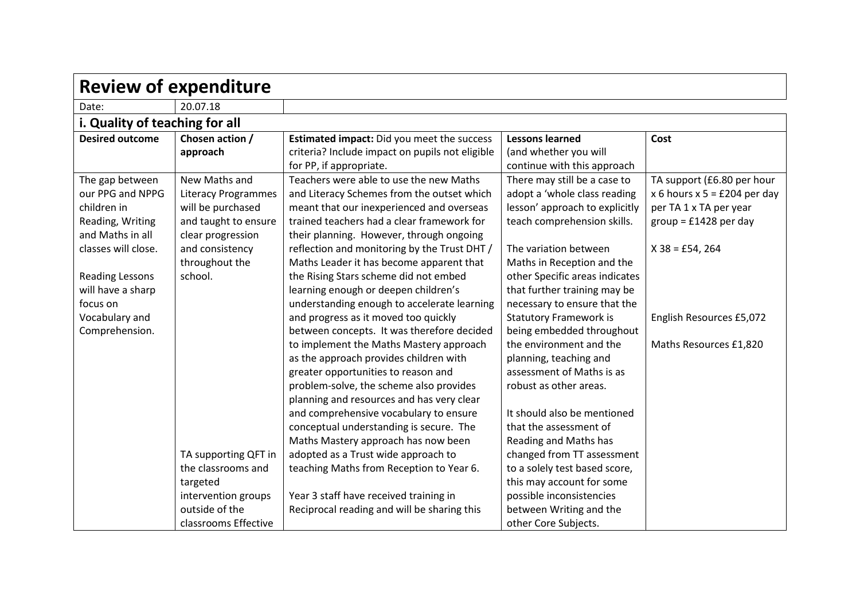| <b>Review of expenditure</b>   |                      |                                                 |                                |                                |  |
|--------------------------------|----------------------|-------------------------------------------------|--------------------------------|--------------------------------|--|
| Date:                          | 20.07.18             |                                                 |                                |                                |  |
| i. Quality of teaching for all |                      |                                                 |                                |                                |  |
| <b>Desired outcome</b>         | Chosen action /      | Estimated impact: Did you meet the success      | <b>Lessons learned</b>         | Cost                           |  |
|                                | approach             | criteria? Include impact on pupils not eligible | (and whether you will          |                                |  |
|                                |                      | for PP, if appropriate.                         | continue with this approach    |                                |  |
| The gap between                | New Maths and        | Teachers were able to use the new Maths         | There may still be a case to   | TA support (£6.80 per hour     |  |
| our PPG and NPPG               | Literacy Programmes  | and Literacy Schemes from the outset which      | adopt a 'whole class reading   | x 6 hours $x$ 5 = £204 per day |  |
| children in                    | will be purchased    | meant that our inexperienced and overseas       | lesson' approach to explicitly | per TA 1 x TA per year         |  |
| Reading, Writing               | and taught to ensure | trained teachers had a clear framework for      | teach comprehension skills.    | $group = £1428 per day$        |  |
| and Maths in all               | clear progression    | their planning. However, through ongoing        |                                |                                |  |
| classes will close.            | and consistency      | reflection and monitoring by the Trust DHT /    | The variation between          | $X$ 38 = £54, 264              |  |
|                                | throughout the       | Maths Leader it has become apparent that        | Maths in Reception and the     |                                |  |
| <b>Reading Lessons</b>         | school.              | the Rising Stars scheme did not embed           | other Specific areas indicates |                                |  |
| will have a sharp              |                      | learning enough or deepen children's            | that further training may be   |                                |  |
| focus on                       |                      | understanding enough to accelerate learning     | necessary to ensure that the   |                                |  |
| Vocabulary and                 |                      | and progress as it moved too quickly            | <b>Statutory Framework is</b>  | English Resources £5,072       |  |
| Comprehension.                 |                      | between concepts. It was therefore decided      | being embedded throughout      |                                |  |
|                                |                      | to implement the Maths Mastery approach         | the environment and the        | Maths Resources £1,820         |  |
|                                |                      | as the approach provides children with          | planning, teaching and         |                                |  |
|                                |                      | greater opportunities to reason and             | assessment of Maths is as      |                                |  |
|                                |                      | problem-solve, the scheme also provides         | robust as other areas.         |                                |  |
|                                |                      | planning and resources and has very clear       |                                |                                |  |
|                                |                      | and comprehensive vocabulary to ensure          | It should also be mentioned    |                                |  |
|                                |                      | conceptual understanding is secure. The         | that the assessment of         |                                |  |
|                                |                      | Maths Mastery approach has now been             | Reading and Maths has          |                                |  |
|                                | TA supporting QFT in | adopted as a Trust wide approach to             | changed from TT assessment     |                                |  |
|                                | the classrooms and   | teaching Maths from Reception to Year 6.        | to a solely test based score,  |                                |  |
|                                | targeted             |                                                 | this may account for some      |                                |  |
|                                | intervention groups  | Year 3 staff have received training in          | possible inconsistencies       |                                |  |
|                                | outside of the       | Reciprocal reading and will be sharing this     | between Writing and the        |                                |  |
|                                | classrooms Effective |                                                 | other Core Subjects.           |                                |  |

┑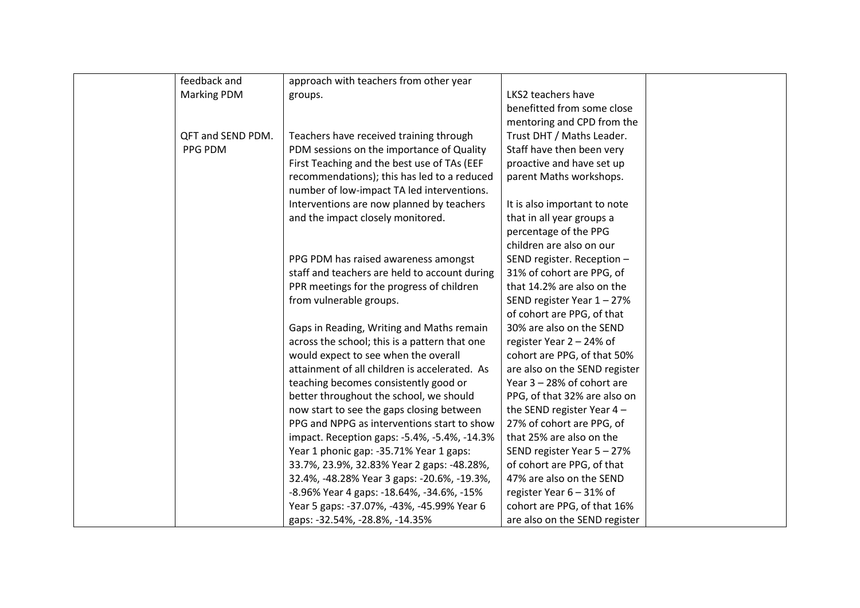| feedback and       | approach with teachers from other year        |                               |  |
|--------------------|-----------------------------------------------|-------------------------------|--|
| <b>Marking PDM</b> | groups.                                       | LKS2 teachers have            |  |
|                    |                                               | benefitted from some close    |  |
|                    |                                               | mentoring and CPD from the    |  |
| QFT and SEND PDM.  | Teachers have received training through       | Trust DHT / Maths Leader.     |  |
| PPG PDM            | PDM sessions on the importance of Quality     | Staff have then been very     |  |
|                    | First Teaching and the best use of TAs (EEF   | proactive and have set up     |  |
|                    | recommendations); this has led to a reduced   | parent Maths workshops.       |  |
|                    | number of low-impact TA led interventions.    |                               |  |
|                    | Interventions are now planned by teachers     | It is also important to note  |  |
|                    | and the impact closely monitored.             | that in all year groups a     |  |
|                    |                                               | percentage of the PPG         |  |
|                    |                                               | children are also on our      |  |
|                    | PPG PDM has raised awareness amongst          | SEND register. Reception -    |  |
|                    | staff and teachers are held to account during | 31% of cohort are PPG, of     |  |
|                    | PPR meetings for the progress of children     | that 14.2% are also on the    |  |
|                    | from vulnerable groups.                       | SEND register Year 1 - 27%    |  |
|                    |                                               | of cohort are PPG, of that    |  |
|                    | Gaps in Reading, Writing and Maths remain     | 30% are also on the SEND      |  |
|                    | across the school; this is a pattern that one | register Year 2 - 24% of      |  |
|                    | would expect to see when the overall          | cohort are PPG, of that 50%   |  |
|                    | attainment of all children is accelerated. As | are also on the SEND register |  |
|                    | teaching becomes consistently good or         | Year 3 - 28% of cohort are    |  |
|                    | better throughout the school, we should       | PPG, of that 32% are also on  |  |
|                    | now start to see the gaps closing between     | the SEND register Year $4 -$  |  |
|                    | PPG and NPPG as interventions start to show   | 27% of cohort are PPG, of     |  |
|                    | impact. Reception gaps: -5.4%, -5.4%, -14.3%  | that 25% are also on the      |  |
|                    | Year 1 phonic gap: -35.71% Year 1 gaps:       | SEND register Year 5 - 27%    |  |
|                    | 33.7%, 23.9%, 32.83% Year 2 gaps: -48.28%,    | of cohort are PPG, of that    |  |
|                    | 32.4%, -48.28% Year 3 gaps: -20.6%, -19.3%,   | 47% are also on the SEND      |  |
|                    | -8.96% Year 4 gaps: -18.64%, -34.6%, -15%     | register Year 6 - 31% of      |  |
|                    | Year 5 gaps: -37.07%, -43%, -45.99% Year 6    | cohort are PPG, of that 16%   |  |
|                    | gaps: -32.54%, -28.8%, -14.35%                | are also on the SEND register |  |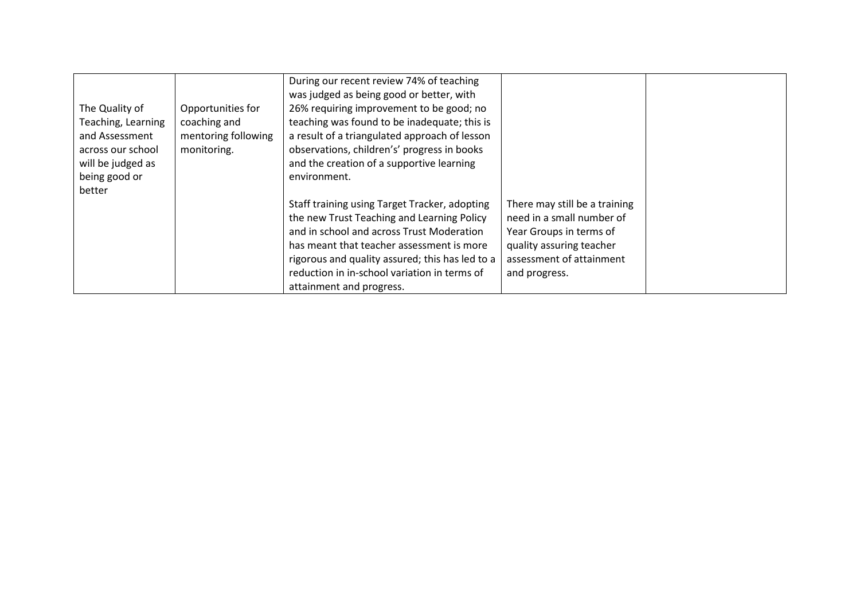|                    |                     | During our recent review 74% of teaching        |                               |  |
|--------------------|---------------------|-------------------------------------------------|-------------------------------|--|
|                    |                     | was judged as being good or better, with        |                               |  |
| The Quality of     | Opportunities for   | 26% requiring improvement to be good; no        |                               |  |
| Teaching, Learning | coaching and        | teaching was found to be inadequate; this is    |                               |  |
| and Assessment     | mentoring following | a result of a triangulated approach of lesson   |                               |  |
| across our school  | monitoring.         | observations, children's' progress in books     |                               |  |
| will be judged as  |                     | and the creation of a supportive learning       |                               |  |
| being good or      |                     | environment.                                    |                               |  |
| better             |                     |                                                 |                               |  |
|                    |                     | Staff training using Target Tracker, adopting   | There may still be a training |  |
|                    |                     | the new Trust Teaching and Learning Policy      | need in a small number of     |  |
|                    |                     | and in school and across Trust Moderation       | Year Groups in terms of       |  |
|                    |                     | has meant that teacher assessment is more       | quality assuring teacher      |  |
|                    |                     | rigorous and quality assured; this has led to a | assessment of attainment      |  |
|                    |                     | reduction in in-school variation in terms of    | and progress.                 |  |
|                    |                     | attainment and progress.                        |                               |  |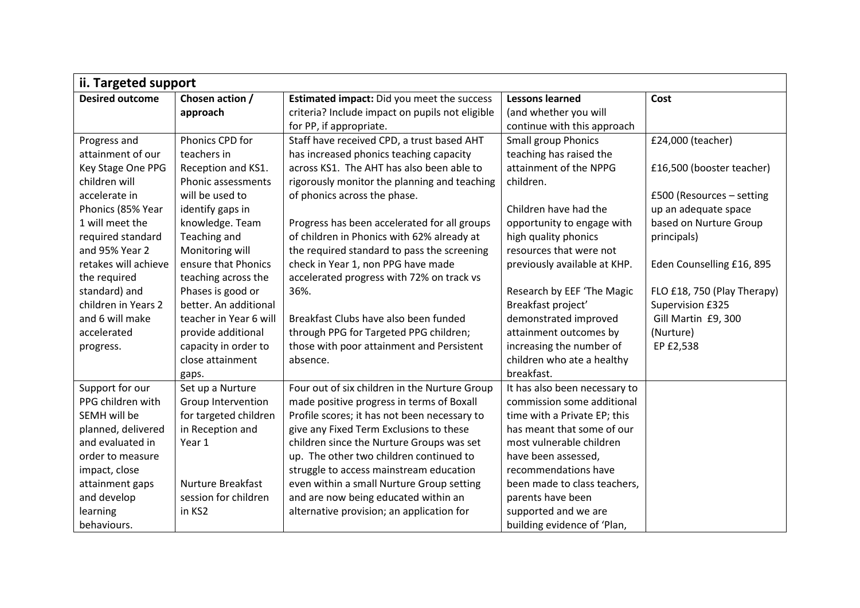| ii. Targeted support   |                           |                                                   |                               |                             |
|------------------------|---------------------------|---------------------------------------------------|-------------------------------|-----------------------------|
| <b>Desired outcome</b> | Chosen action /           | <b>Estimated impact:</b> Did you meet the success | <b>Lessons learned</b>        | Cost                        |
|                        | approach                  | criteria? Include impact on pupils not eligible   | (and whether you will         |                             |
|                        |                           | for PP, if appropriate.                           | continue with this approach   |                             |
| Progress and           | Phonics CPD for           | Staff have received CPD, a trust based AHT        | <b>Small group Phonics</b>    | £24,000 (teacher)           |
| attainment of our      | teachers in               | has increased phonics teaching capacity           | teaching has raised the       |                             |
| Key Stage One PPG      | Reception and KS1.        | across KS1. The AHT has also been able to         | attainment of the NPPG        | £16,500 (booster teacher)   |
| children will          | <b>Phonic assessments</b> | rigorously monitor the planning and teaching      | children.                     |                             |
| accelerate in          | will be used to           | of phonics across the phase.                      |                               | £500 (Resources - setting   |
| Phonics (85% Year      | identify gaps in          |                                                   | Children have had the         | up an adequate space        |
| 1 will meet the        | knowledge. Team           | Progress has been accelerated for all groups      | opportunity to engage with    | based on Nurture Group      |
| required standard      | Teaching and              | of children in Phonics with 62% already at        | high quality phonics          | principals)                 |
| and 95% Year 2         | Monitoring will           | the required standard to pass the screening       | resources that were not       |                             |
| retakes will achieve   | ensure that Phonics       | check in Year 1, non PPG have made                | previously available at KHP.  | Eden Counselling £16, 895   |
| the required           | teaching across the       | accelerated progress with 72% on track vs         |                               |                             |
| standard) and          | Phases is good or         | 36%.                                              | Research by EEF 'The Magic    | FLO £18, 750 (Play Therapy) |
| children in Years 2    | better. An additional     |                                                   | Breakfast project'            | Supervision £325            |
| and 6 will make        | teacher in Year 6 will    | Breakfast Clubs have also been funded             | demonstrated improved         | Gill Martin £9, 300         |
| accelerated            | provide additional        | through PPG for Targeted PPG children;            | attainment outcomes by        | (Nurture)                   |
| progress.              | capacity in order to      | those with poor attainment and Persistent         | increasing the number of      | EP £2,538                   |
|                        | close attainment          | absence.                                          | children who ate a healthy    |                             |
|                        | gaps.                     |                                                   | breakfast.                    |                             |
| Support for our        | Set up a Nurture          | Four out of six children in the Nurture Group     | It has also been necessary to |                             |
| PPG children with      | Group Intervention        | made positive progress in terms of Boxall         | commission some additional    |                             |
| SEMH will be           | for targeted children     | Profile scores; it has not been necessary to      | time with a Private EP; this  |                             |
| planned, delivered     | in Reception and          | give any Fixed Term Exclusions to these           | has meant that some of our    |                             |
| and evaluated in       | Year 1                    | children since the Nurture Groups was set         | most vulnerable children      |                             |
| order to measure       |                           | up. The other two children continued to           | have been assessed,           |                             |
| impact, close          |                           | struggle to access mainstream education           | recommendations have          |                             |
| attainment gaps        | Nurture Breakfast         | even within a small Nurture Group setting         | been made to class teachers,  |                             |
| and develop            | session for children      | and are now being educated within an              | parents have been             |                             |
| learning               | in KS2                    | alternative provision; an application for         | supported and we are          |                             |
| behaviours.            |                           |                                                   | building evidence of 'Plan,   |                             |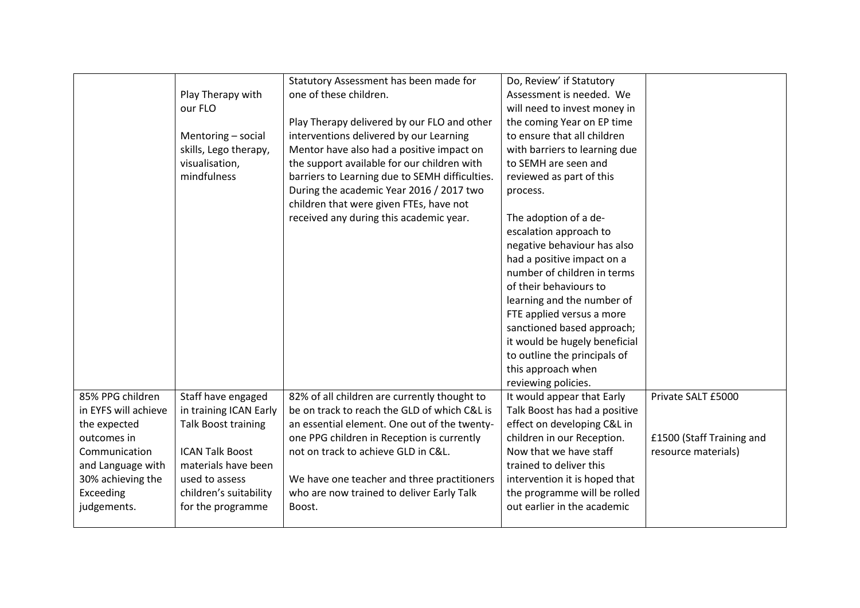|                      |                        | Statutory Assessment has been made for         | Do, Review' if Statutory      |                           |
|----------------------|------------------------|------------------------------------------------|-------------------------------|---------------------------|
|                      | Play Therapy with      | one of these children.                         | Assessment is needed. We      |                           |
|                      | our FLO                |                                                | will need to invest money in  |                           |
|                      |                        | Play Therapy delivered by our FLO and other    | the coming Year on EP time    |                           |
|                      | Mentoring - social     | interventions delivered by our Learning        | to ensure that all children   |                           |
|                      | skills, Lego therapy,  | Mentor have also had a positive impact on      | with barriers to learning due |                           |
|                      | visualisation,         | the support available for our children with    | to SEMH are seen and          |                           |
|                      | mindfulness            | barriers to Learning due to SEMH difficulties. | reviewed as part of this      |                           |
|                      |                        | During the academic Year 2016 / 2017 two       | process.                      |                           |
|                      |                        | children that were given FTEs, have not        |                               |                           |
|                      |                        | received any during this academic year.        | The adoption of a de-         |                           |
|                      |                        |                                                | escalation approach to        |                           |
|                      |                        |                                                | negative behaviour has also   |                           |
|                      |                        |                                                | had a positive impact on a    |                           |
|                      |                        |                                                | number of children in terms   |                           |
|                      |                        |                                                | of their behaviours to        |                           |
|                      |                        |                                                | learning and the number of    |                           |
|                      |                        |                                                | FTE applied versus a more     |                           |
|                      |                        |                                                | sanctioned based approach;    |                           |
|                      |                        |                                                | it would be hugely beneficial |                           |
|                      |                        |                                                | to outline the principals of  |                           |
|                      |                        |                                                | this approach when            |                           |
|                      |                        |                                                | reviewing policies.           |                           |
| 85% PPG children     | Staff have engaged     | 82% of all children are currently thought to   | It would appear that Early    | Private SALT £5000        |
| in EYFS will achieve | in training ICAN Early | be on track to reach the GLD of which C&L is   | Talk Boost has had a positive |                           |
| the expected         | Talk Boost training    | an essential element. One out of the twenty-   | effect on developing C&L in   |                           |
| outcomes in          |                        | one PPG children in Reception is currently     | children in our Reception.    | £1500 (Staff Training and |
| Communication        | <b>ICAN Talk Boost</b> | not on track to achieve GLD in C&L.            | Now that we have staff        | resource materials)       |
| and Language with    | materials have been    |                                                | trained to deliver this       |                           |
| 30% achieving the    | used to assess         | We have one teacher and three practitioners    | intervention it is hoped that |                           |
| Exceeding            | children's suitability | who are now trained to deliver Early Talk      | the programme will be rolled  |                           |
| judgements.          | for the programme      | Boost.                                         | out earlier in the academic   |                           |
|                      |                        |                                                |                               |                           |
|                      |                        |                                                |                               |                           |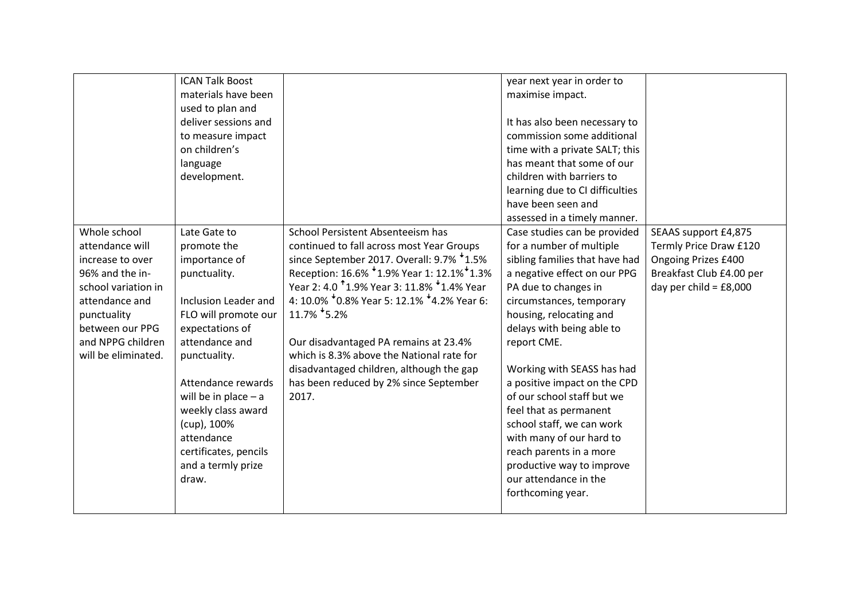|                     | <b>ICAN Talk Boost</b>      |                                                       | year next year in order to      |                          |
|---------------------|-----------------------------|-------------------------------------------------------|---------------------------------|--------------------------|
|                     | materials have been         |                                                       | maximise impact.                |                          |
|                     | used to plan and            |                                                       |                                 |                          |
|                     | deliver sessions and        |                                                       | It has also been necessary to   |                          |
|                     | to measure impact           |                                                       | commission some additional      |                          |
|                     | on children's               |                                                       | time with a private SALT; this  |                          |
|                     | language                    |                                                       | has meant that some of our      |                          |
|                     | development.                |                                                       | children with barriers to       |                          |
|                     |                             |                                                       | learning due to CI difficulties |                          |
|                     |                             |                                                       | have been seen and              |                          |
|                     |                             |                                                       | assessed in a timely manner.    |                          |
| Whole school        | Late Gate to                | School Persistent Absenteeism has                     | Case studies can be provided    | SEAAS support £4,875     |
| attendance will     | promote the                 | continued to fall across most Year Groups             | for a number of multiple        | Termly Price Draw £120   |
| increase to over    | importance of               | since September 2017. Overall: 9.7% *1.5%             | sibling families that have had  | Ongoing Prizes £400      |
| 96% and the in-     | punctuality.                | Reception: 16.6% *1.9% Year 1: 12.1% *1.3%            | a negative effect on our PPG    | Breakfast Club £4.00 per |
| school variation in |                             | Year 2: 4.0 1.9% Year 3: 11.8% <sup>+</sup> 1.4% Year | PA due to changes in            | day per child = $£8,000$ |
| attendance and      | <b>Inclusion Leader and</b> | 4: 10.0% $*$ 0.8% Year 5: 12.1% $*$ 4.2% Year 6:      | circumstances, temporary        |                          |
| punctuality         | FLO will promote our        | 11.7% 5.2%                                            | housing, relocating and         |                          |
| between our PPG     | expectations of             |                                                       | delays with being able to       |                          |
| and NPPG children   | attendance and              | Our disadvantaged PA remains at 23.4%                 | report CME.                     |                          |
| will be eliminated. | punctuality.                | which is 8.3% above the National rate for             |                                 |                          |
|                     |                             | disadvantaged children, although the gap              | Working with SEASS has had      |                          |
|                     | Attendance rewards          | has been reduced by 2% since September                | a positive impact on the CPD    |                          |
|                     | will be in place $- a$      | 2017.                                                 | of our school staff but we      |                          |
|                     | weekly class award          |                                                       | feel that as permanent          |                          |
|                     | (cup), 100%                 |                                                       | school staff, we can work       |                          |
|                     | attendance                  |                                                       | with many of our hard to        |                          |
|                     | certificates, pencils       |                                                       | reach parents in a more         |                          |
|                     | and a termly prize          |                                                       | productive way to improve       |                          |
|                     | draw.                       |                                                       | our attendance in the           |                          |
|                     |                             |                                                       | forthcoming year.               |                          |
|                     |                             |                                                       |                                 |                          |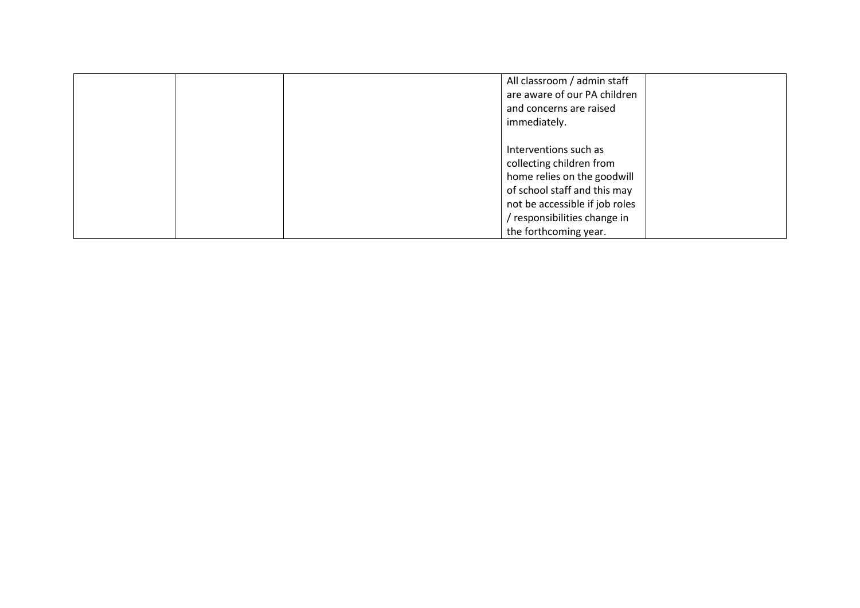|  |                          | All classroom / admin staff    |
|--|--------------------------|--------------------------------|
|  |                          | are aware of our PA children   |
|  | and concerns are raised  |                                |
|  | immediately.             |                                |
|  |                          |                                |
|  | Interventions such as    |                                |
|  | collecting children from |                                |
|  |                          | home relies on the goodwill    |
|  |                          | of school staff and this may   |
|  |                          | not be accessible if job roles |
|  |                          | / responsibilities change in   |
|  | the forthcoming year.    |                                |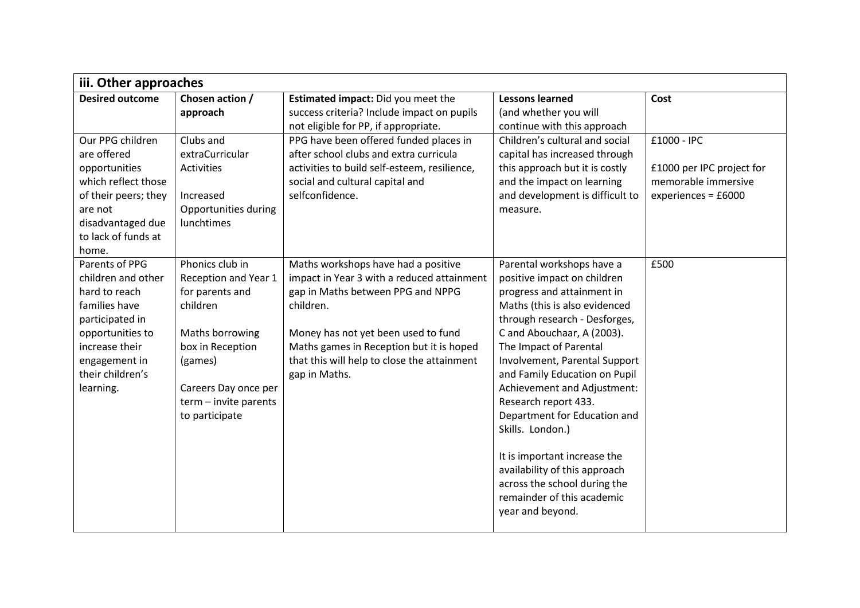| iii. Other approaches  |                       |                                              |                                 |                           |  |
|------------------------|-----------------------|----------------------------------------------|---------------------------------|---------------------------|--|
| <b>Desired outcome</b> | Chosen action /       | Estimated impact: Did you meet the           | <b>Lessons learned</b>          | Cost                      |  |
|                        | approach              | success criteria? Include impact on pupils   | (and whether you will           |                           |  |
|                        |                       | not eligible for PP, if appropriate.         | continue with this approach     |                           |  |
| Our PPG children       | Clubs and             | PPG have been offered funded places in       | Children's cultural and social  | £1000 - IPC               |  |
| are offered            | extraCurricular       | after school clubs and extra curricula       | capital has increased through   |                           |  |
| opportunities          | Activities            | activities to build self-esteem, resilience, | this approach but it is costly  | £1000 per IPC project for |  |
| which reflect those    |                       | social and cultural capital and              | and the impact on learning      | memorable immersive       |  |
| of their peers; they   | Increased             | selfconfidence.                              | and development is difficult to | experiences = $£6000$     |  |
| are not                | Opportunities during  |                                              | measure.                        |                           |  |
| disadvantaged due      | lunchtimes            |                                              |                                 |                           |  |
| to lack of funds at    |                       |                                              |                                 |                           |  |
| home.                  |                       |                                              |                                 |                           |  |
| Parents of PPG         | Phonics club in       | Maths workshops have had a positive          | Parental workshops have a       | £500                      |  |
| children and other     | Reception and Year 1  | impact in Year 3 with a reduced attainment   | positive impact on children     |                           |  |
| hard to reach          | for parents and       | gap in Maths between PPG and NPPG            | progress and attainment in      |                           |  |
| families have          | children              | children.                                    | Maths (this is also evidenced   |                           |  |
| participated in        |                       |                                              | through research - Desforges,   |                           |  |
| opportunities to       | Maths borrowing       | Money has not yet been used to fund          | C and Abouchaar, A (2003).      |                           |  |
| increase their         | box in Reception      | Maths games in Reception but it is hoped     | The Impact of Parental          |                           |  |
| engagement in          | (games)               | that this will help to close the attainment  | Involvement, Parental Support   |                           |  |
| their children's       |                       | gap in Maths.                                | and Family Education on Pupil   |                           |  |
| learning.              | Careers Day once per  |                                              | Achievement and Adjustment:     |                           |  |
|                        | term - invite parents |                                              | Research report 433.            |                           |  |
|                        | to participate        |                                              | Department for Education and    |                           |  |
|                        |                       |                                              | Skills. London.)                |                           |  |
|                        |                       |                                              |                                 |                           |  |
|                        |                       |                                              | It is important increase the    |                           |  |
|                        |                       |                                              | availability of this approach   |                           |  |
|                        |                       |                                              | across the school during the    |                           |  |
|                        |                       |                                              | remainder of this academic      |                           |  |
|                        |                       |                                              | year and beyond.                |                           |  |
|                        |                       |                                              |                                 |                           |  |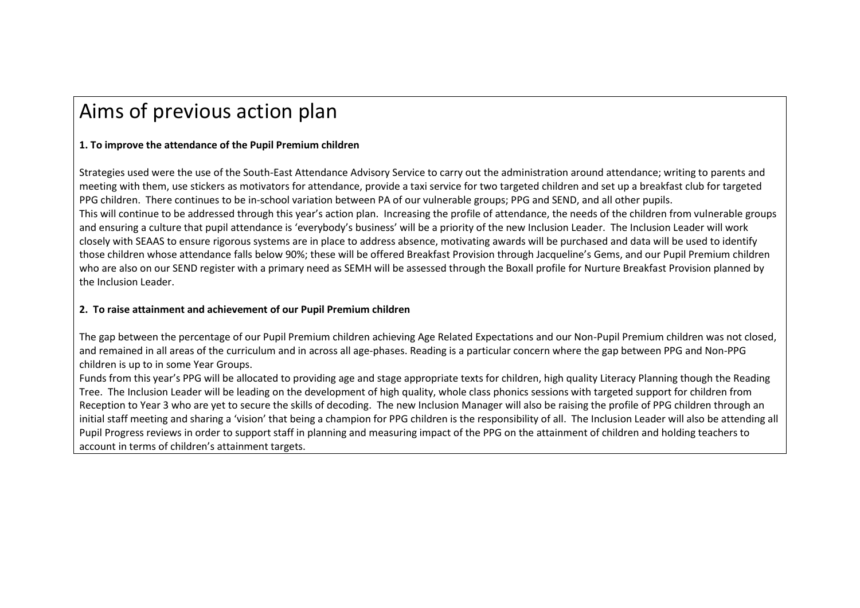## Aims of previous action plan

## **1. To improve the attendance of the Pupil Premium children**

Strategies used were the use of the South-East Attendance Advisory Service to carry out the administration around attendance; writing to parents and meeting with them, use stickers as motivators for attendance, provide a taxi service for two targeted children and set up a breakfast club for targeted PPG children. There continues to be in-school variation between PA of our vulnerable groups; PPG and SEND, and all other pupils. This will continue to be addressed through this year's action plan. Increasing the profile of attendance, the needs of the children from vulnerable groups and ensuring a culture that pupil attendance is 'everybody's business' will be a priority of the new Inclusion Leader. The Inclusion Leader will work closely with SEAAS to ensure rigorous systems are in place to address absence, motivating awards will be purchased and data will be used to identify those children whose attendance falls below 90%; these will be offered Breakfast Provision through Jacqueline's Gems, and our Pupil Premium children who are also on our SEND register with a primary need as SEMH will be assessed through the Boxall profile for Nurture Breakfast Provision planned by the Inclusion Leader.

## **2. To raise attainment and achievement of our Pupil Premium children**

The gap between the percentage of our Pupil Premium children achieving Age Related Expectations and our Non-Pupil Premium children was not closed, and remained in all areas of the curriculum and in across all age-phases. Reading is a particular concern where the gap between PPG and Non-PPG children is up to in some Year Groups.

Funds from this year's PPG will be allocated to providing age and stage appropriate texts for children, high quality Literacy Planning though the Reading Tree. The Inclusion Leader will be leading on the development of high quality, whole class phonics sessions with targeted support for children from Reception to Year 3 who are yet to secure the skills of decoding. The new Inclusion Manager will also be raising the profile of PPG children through an initial staff meeting and sharing a 'vision' that being a champion for PPG children is the responsibility of all. The Inclusion Leader will also be attending all Pupil Progress reviews in order to support staff in planning and measuring impact of the PPG on the attainment of children and holding teachers to account in terms of children's attainment targets.